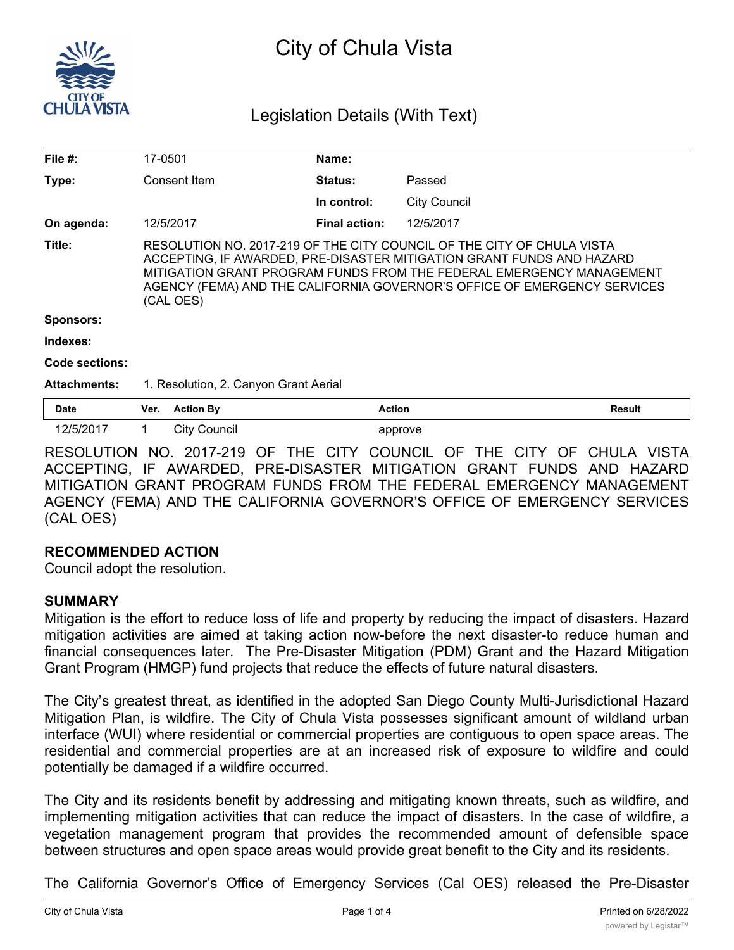

# City of Chula Vista

# Legislation Details (With Text)

| File $#$ :          | 17-0501                                                                                                                                                                                                                                                                                                          | Name:                |                     |               |
|---------------------|------------------------------------------------------------------------------------------------------------------------------------------------------------------------------------------------------------------------------------------------------------------------------------------------------------------|----------------------|---------------------|---------------|
| Type:               | Consent Item                                                                                                                                                                                                                                                                                                     | <b>Status:</b>       | Passed              |               |
|                     |                                                                                                                                                                                                                                                                                                                  | In control:          | <b>City Council</b> |               |
| On agenda:          | 12/5/2017                                                                                                                                                                                                                                                                                                        | <b>Final action:</b> | 12/5/2017           |               |
| Title:              | RESOLUTION NO. 2017-219 OF THE CITY COUNCIL OF THE CITY OF CHULA VISTA<br>ACCEPTING, IF AWARDED, PRE-DISASTER MITIGATION GRANT FUNDS AND HAZARD<br>MITIGATION GRANT PROGRAM FUNDS FROM THE FEDERAL EMERGENCY MANAGEMENT<br>AGENCY (FEMA) AND THE CALIFORNIA GOVERNOR'S OFFICE OF EMERGENCY SERVICES<br>(CAL OES) |                      |                     |               |
| <b>Sponsors:</b>    |                                                                                                                                                                                                                                                                                                                  |                      |                     |               |
| Indexes:            |                                                                                                                                                                                                                                                                                                                  |                      |                     |               |
| Code sections:      |                                                                                                                                                                                                                                                                                                                  |                      |                     |               |
| <b>Attachments:</b> | 1. Resolution, 2. Canyon Grant Aerial                                                                                                                                                                                                                                                                            |                      |                     |               |
| <b>Date</b>         | <b>Action By</b><br>Ver.                                                                                                                                                                                                                                                                                         | <b>Action</b>        |                     | <b>Result</b> |
| 12/5/2017           | <b>City Council</b><br>1                                                                                                                                                                                                                                                                                         |                      | approve             |               |

RESOLUTION NO. 2017-219 OF THE CITY COUNCIL OF THE CITY OF CHULA VISTA ACCEPTING, IF AWARDED, PRE-DISASTER MITIGATION GRANT FUNDS AND HAZARD MITIGATION GRANT PROGRAM FUNDS FROM THE FEDERAL EMERGENCY MANAGEMENT AGENCY (FEMA) AND THE CALIFORNIA GOVERNOR'S OFFICE OF EMERGENCY SERVICES (CAL OES)

# **RECOMMENDED ACTION**

Council adopt the resolution.

# **SUMMARY**

Mitigation is the effort to reduce loss of life and property by reducing the impact of disasters. Hazard mitigation activities are aimed at taking action now-before the next disaster-to reduce human and financial consequences later. The Pre-Disaster Mitigation (PDM) Grant and the Hazard Mitigation Grant Program (HMGP) fund projects that reduce the effects of future natural disasters.

The City's greatest threat, as identified in the adopted San Diego County Multi-Jurisdictional Hazard Mitigation Plan, is wildfire. The City of Chula Vista possesses significant amount of wildland urban interface (WUI) where residential or commercial properties are contiguous to open space areas. The residential and commercial properties are at an increased risk of exposure to wildfire and could potentially be damaged if a wildfire occurred.

The City and its residents benefit by addressing and mitigating known threats, such as wildfire, and implementing mitigation activities that can reduce the impact of disasters. In the case of wildfire, a vegetation management program that provides the recommended amount of defensible space between structures and open space areas would provide great benefit to the City and its residents.

The California Governor's Office of Emergency Services (Cal OES) released the Pre-Disaster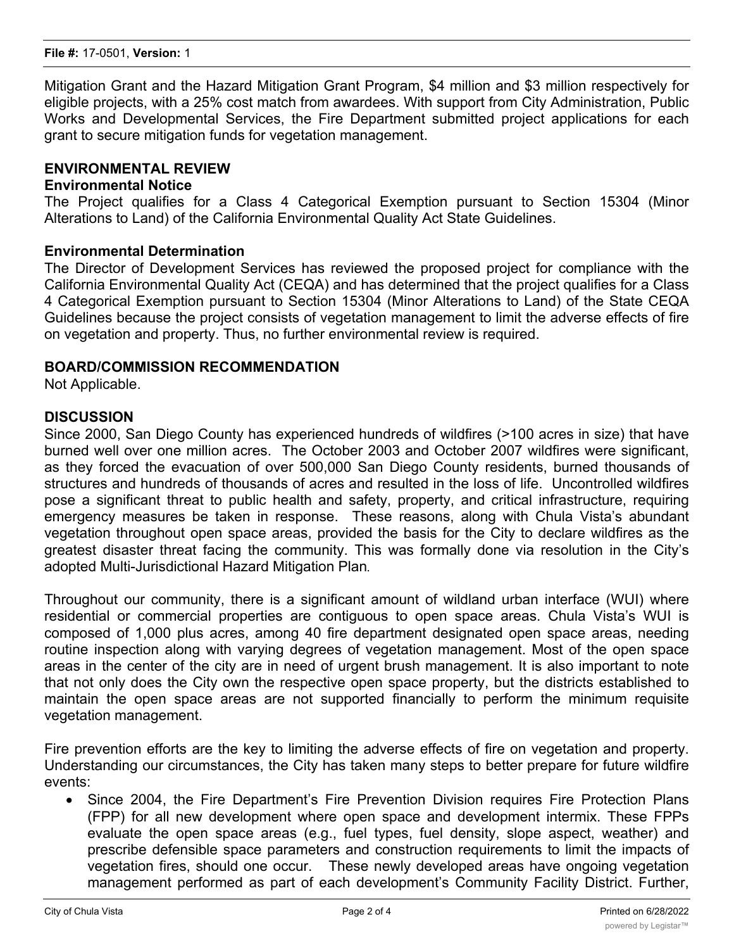Mitigation Grant and the Hazard Mitigation Grant Program, \$4 million and \$3 million respectively for eligible projects, with a 25% cost match from awardees. With support from City Administration, Public Works and Developmental Services, the Fire Department submitted project applications for each grant to secure mitigation funds for vegetation management.

### **ENVIRONMENTAL REVIEW**

### **Environmental Notice**

The Project qualifies for a Class 4 Categorical Exemption pursuant to Section 15304 (Minor Alterations to Land) of the California Environmental Quality Act State Guidelines.

### **Environmental Determination**

The Director of Development Services has reviewed the proposed project for compliance with the California Environmental Quality Act (CEQA) and has determined that the project qualifies for a Class 4 Categorical Exemption pursuant to Section 15304 (Minor Alterations to Land) of the State CEQA Guidelines because the project consists of vegetation management to limit the adverse effects of fire on vegetation and property. Thus, no further environmental review is required.

#### **BOARD/COMMISSION RECOMMENDATION**

Not Applicable.

### **DISCUSSION**

Since 2000, San Diego County has experienced hundreds of wildfires (>100 acres in size) that have burned well over one million acres. The October 2003 and October 2007 wildfires were significant, as they forced the evacuation of over 500,000 San Diego County residents, burned thousands of structures and hundreds of thousands of acres and resulted in the loss of life. Uncontrolled wildfires pose a significant threat to public health and safety, property, and critical infrastructure, requiring emergency measures be taken in response. These reasons, along with Chula Vista's abundant vegetation throughout open space areas, provided the basis for the City to declare wildfires as the greatest disaster threat facing the community. This was formally done via resolution in the City's adopted Multi-Jurisdictional Hazard Mitigation Plan*.*

Throughout our community, there is a significant amount of wildland urban interface (WUI) where residential or commercial properties are contiguous to open space areas. Chula Vista's WUI is composed of 1,000 plus acres, among 40 fire department designated open space areas, needing routine inspection along with varying degrees of vegetation management. Most of the open space areas in the center of the city are in need of urgent brush management. It is also important to note that not only does the City own the respective open space property, but the districts established to maintain the open space areas are not supported financially to perform the minimum requisite vegetation management.

Fire prevention efforts are the key to limiting the adverse effects of fire on vegetation and property. Understanding our circumstances, the City has taken many steps to better prepare for future wildfire events:

· Since 2004, the Fire Department's Fire Prevention Division requires Fire Protection Plans (FPP) for all new development where open space and development intermix. These FPPs evaluate the open space areas (e.g., fuel types, fuel density, slope aspect, weather) and prescribe defensible space parameters and construction requirements to limit the impacts of vegetation fires, should one occur. These newly developed areas have ongoing vegetation management performed as part of each development's Community Facility District. Further,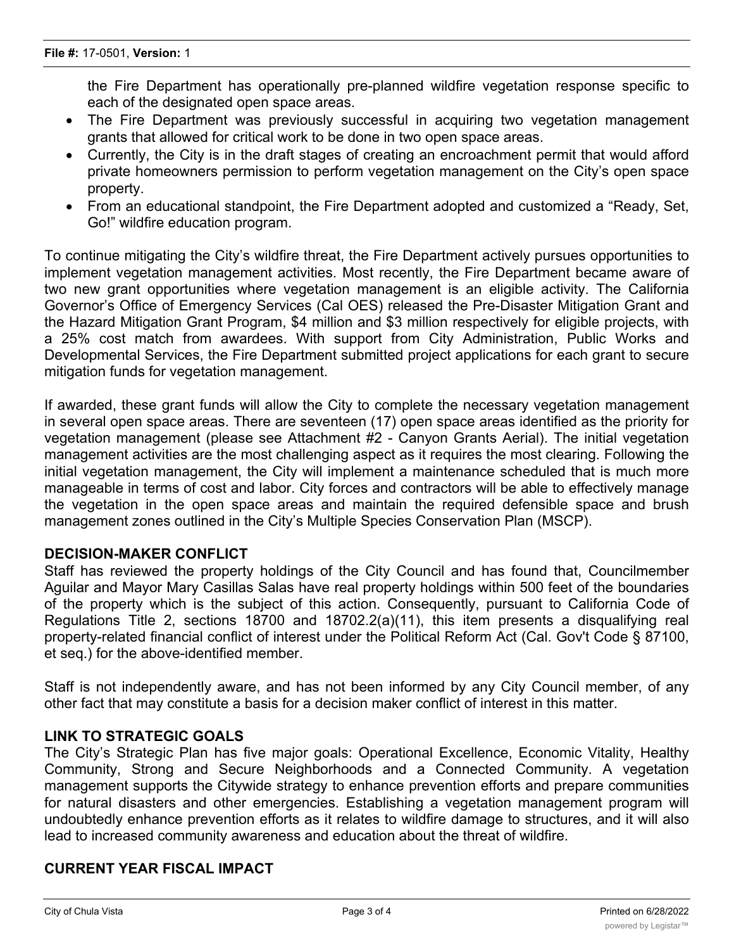the Fire Department has operationally pre-planned wildfire vegetation response specific to each of the designated open space areas.

- The Fire Department was previously successful in acquiring two vegetation management grants that allowed for critical work to be done in two open space areas.
- · Currently, the City is in the draft stages of creating an encroachment permit that would afford private homeowners permission to perform vegetation management on the City's open space property.
- · From an educational standpoint, the Fire Department adopted and customized a "Ready, Set, Go!" wildfire education program.

To continue mitigating the City's wildfire threat, the Fire Department actively pursues opportunities to implement vegetation management activities. Most recently, the Fire Department became aware of two new grant opportunities where vegetation management is an eligible activity. The California Governor's Office of Emergency Services (Cal OES) released the Pre-Disaster Mitigation Grant and the Hazard Mitigation Grant Program, \$4 million and \$3 million respectively for eligible projects, with a 25% cost match from awardees. With support from City Administration, Public Works and Developmental Services, the Fire Department submitted project applications for each grant to secure mitigation funds for vegetation management.

If awarded, these grant funds will allow the City to complete the necessary vegetation management in several open space areas. There are seventeen (17) open space areas identified as the priority for vegetation management (please see Attachment #2 - Canyon Grants Aerial). The initial vegetation management activities are the most challenging aspect as it requires the most clearing. Following the initial vegetation management, the City will implement a maintenance scheduled that is much more manageable in terms of cost and labor. City forces and contractors will be able to effectively manage the vegetation in the open space areas and maintain the required defensible space and brush management zones outlined in the City's Multiple Species Conservation Plan (MSCP).

# **DECISION-MAKER CONFLICT**

Staff has reviewed the property holdings of the City Council and has found that, Councilmember Aguilar and Mayor Mary Casillas Salas have real property holdings within 500 feet of the boundaries of the property which is the subject of this action. Consequently, pursuant to California Code of Regulations Title 2, sections 18700 and 18702.2(a)(11), this item presents a disqualifying real property-related financial conflict of interest under the Political Reform Act (Cal. Gov't Code § 87100, et seq.) for the above-identified member.

Staff is not independently aware, and has not been informed by any City Council member, of any other fact that may constitute a basis for a decision maker conflict of interest in this matter.

#### **LINK TO STRATEGIC GOALS**

The City's Strategic Plan has five major goals: Operational Excellence, Economic Vitality, Healthy Community, Strong and Secure Neighborhoods and a Connected Community. A vegetation management supports the Citywide strategy to enhance prevention efforts and prepare communities for natural disasters and other emergencies. Establishing a vegetation management program will undoubtedly enhance prevention efforts as it relates to wildfire damage to structures, and it will also lead to increased community awareness and education about the threat of wildfire.

#### **CURRENT YEAR FISCAL IMPACT**